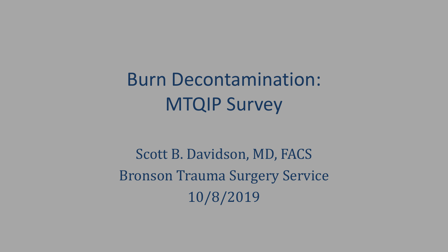Burn Decontamination: MTQIP Survey

Scott B. Davidson, MD, FACS Bronson Trauma Surgery Service 10/8/2019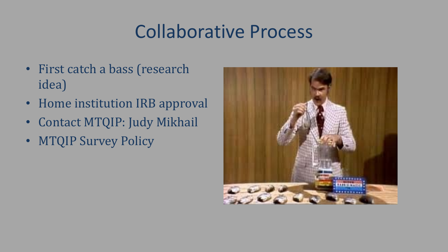## Collaborative Process

- First catch a bass (research idea)
- Home institution IRB approval
- Contact MTQIP: Judy Mikhail
- MTQIP Survey Policy

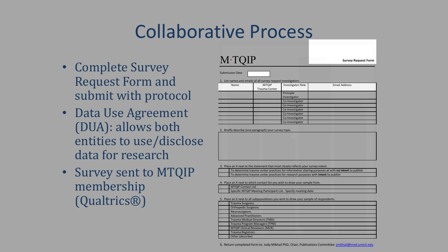### Collaborative Process

- Complete Survey Request Form and submit with protocol
- Data Use Agreement (DUA): allows both entities to use/disclose data for research
- Survey sent to MTQIP membership (Qualtrics®)

#### M∙TQIP

**Survey Request Form**

Submission Date

1. List names and emails of all survey request investigators:

| Name | <b>MTQIP</b>  | Investigator Role | <b>Email Address</b> |
|------|---------------|-------------------|----------------------|
|      | Trauma Center |                   |                      |
|      |               | Principle         |                      |
|      |               | Investigator      |                      |
|      |               | Co-Investigator   |                      |
|      |               | Co-Investigator   |                      |
|      |               | Co-Investigator   |                      |
|      |               | Co-Investigator   |                      |
|      |               | Co-Investigator   |                      |
|      |               | Co-Investigator   |                      |

2. Briefly describe (one paragraph) your survey topic.

3. Place an X next to the statement that most closely reflects your survey inter-

| To determine trauma center practices for information sharing purposes at with no intent to publish |
|----------------------------------------------------------------------------------------------------|
| To determine trauma center practices for research purposes with <b>intent</b> to publish           |

Place an X next to which contact list you wish to draw your sample from.

| <b>MTOIP Contact List</b>                                      |
|----------------------------------------------------------------|
| Specific MTQIP Meeting Participant List. Specify meeting date: |
|                                                                |

5. Place an X next to all subpopulations you wish to draw your sample of respondents.

| <b>Trauma Surgeons</b>                |
|---------------------------------------|
| <b>Orthopedic Surgeons</b>            |
| Neurosurgeons                         |
| <b>Advanced Practitioners</b>         |
| <b>Trauma Medical Directors (TMD)</b> |
| <b>Trauma Program Managers (TPM)</b>  |
| <b>MTQIP Clinical Reviewers (MCR)</b> |
| <b>Trauma Registrars</b>              |
| Other (describe)                      |

6. Return completed form to: Judy Mikhail PhD, Chair, Publications Committee: jmikhail@med.umich.edu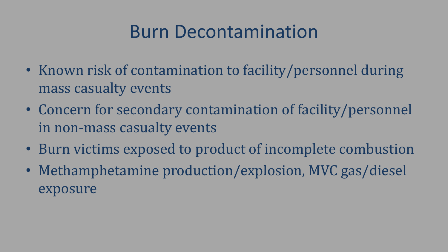### Burn Decontamination

- Known risk of contamination to facility/personnel during mass casualty events
- Concern for secondary contamination of facility/personnel in non-mass casualty events
- Burn victims exposed to product of incomplete combustion
- Methamphetamine production/explosion, MVC gas/diesel exposure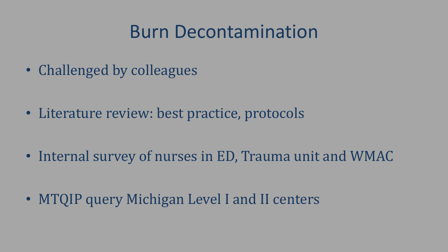### Burn Decontamination

• Challenged by colleagues

• Literature review: best practice, protocols

• Internal survey of nurses in ED, Trauma unit and WMAC

• MTQIP query Michigan Level I and II centers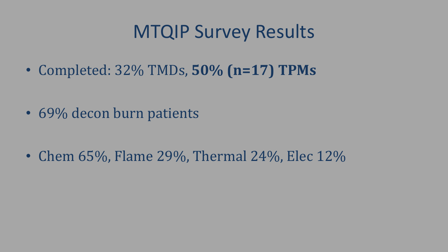#### MTQIP Survey Results

• Completed: 32% TMDs, **50% (n=17) TPMs**

• 69% decon burn patients

• Chem 65%, Flame 29%, Thermal 24%, Elec 12%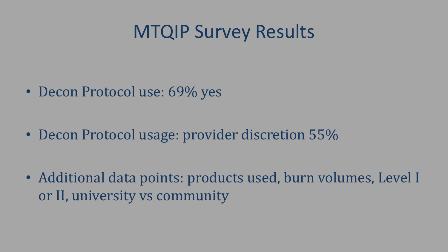#### MTQIP Survey Results

• Decon Protocol use: 69% yes

• Decon Protocol usage: provider discretion 55%

• Additional data points: products used, burn volumes, Level I or II, university vs community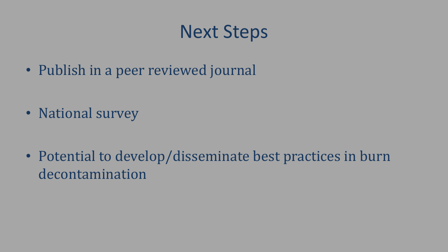# Next Steps

• Publish in a peer reviewed journal

• National survey

• Potential to develop/disseminate best practices in burn decontamination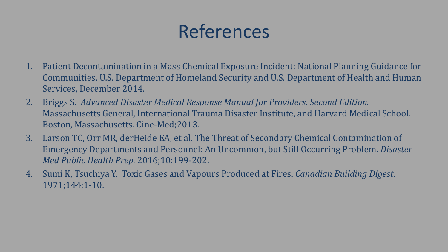# References

- 1. Patient Decontamination in a Mass Chemical Exposure Incident: National Planning Guidance for Communities. U.S. Department of Homeland Security and U.S. Department of Health and Human Services, December 2014.
- 2. Briggs S. *Advanced Disaster Medical Response Manual for Providers. Second Edition.*  Massachusetts General, International Trauma Disaster Institute, and Harvard Medical School. Boston, Massachusetts. Cine-Med;2013.
- 3. Larson TC, Orr MR, derHeide EA, et al. The Threat of Secondary Chemical Contamination of Emergency Departments and Personnel: An Uncommon, but Still Occurring Problem. *Disaster Med Public Health Prep.* 2016;10:199-202.
- 4. Sumi K, Tsuchiya Y. Toxic Gases and Vapours Produced at Fires. *Canadian Building Digest.*  1971;144:1-10.